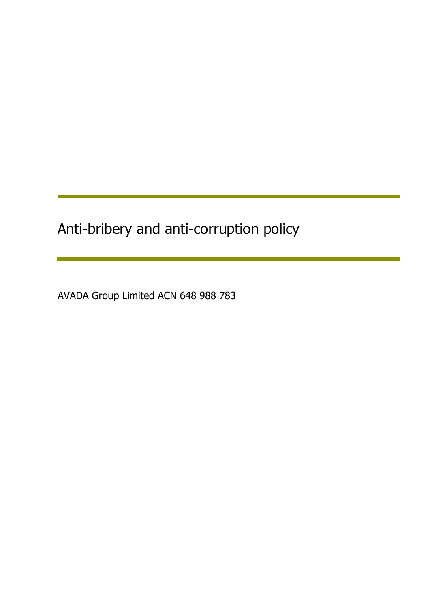Anti-bribery and anti-corruption policy

AVADA Group Limited ACN 648 988 783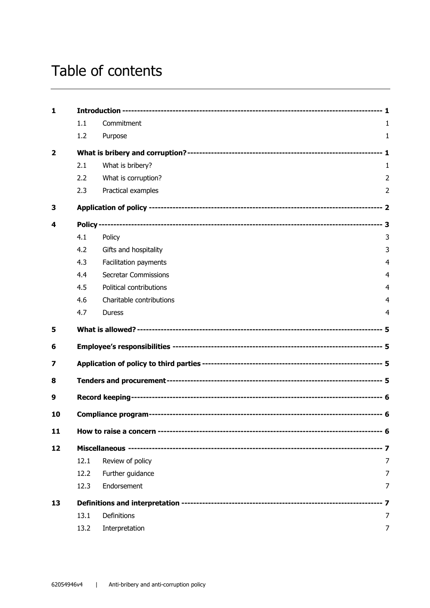# Table of contents

| $\mathbf{1}$   |      |                             |                |  |
|----------------|------|-----------------------------|----------------|--|
|                | 1.1  | Commitment                  | 1              |  |
|                | 1.2  | Purpose                     | $\mathbf{1}$   |  |
| $\overline{2}$ |      |                             |                |  |
|                | 2.1  | What is bribery?            | 1              |  |
|                | 2.2  | What is corruption?         | $\overline{2}$ |  |
|                | 2.3  | Practical examples          | $\overline{2}$ |  |
| 3              |      |                             |                |  |
| 4              |      |                             |                |  |
|                | 4.1  | Policy                      | 3              |  |
|                | 4.2  | Gifts and hospitality       | 3              |  |
|                | 4.3  | Facilitation payments       | 4              |  |
|                | 4.4  | <b>Secretar Commissions</b> | $\overline{4}$ |  |
|                | 4.5  | Political contributions     | $\overline{4}$ |  |
|                | 4.6  | Charitable contributions    | 4              |  |
|                | 4.7  | <b>Duress</b>               | 4              |  |
| 5              |      |                             |                |  |
| 6              |      |                             |                |  |
| 7              |      |                             |                |  |
| 8              |      |                             |                |  |
| 9              |      |                             |                |  |
| 10             |      |                             |                |  |
| 11             |      |                             |                |  |
| 12             |      |                             |                |  |
|                | 12.1 | Review of policy            | 7              |  |
|                | 12.2 | Further guidance            | 7              |  |
|                | 12.3 | Endorsement                 | 7              |  |
| 13             |      |                             | -- 7           |  |
|                | 13.1 | Definitions                 | 7              |  |
|                | 13.2 | Interpretation              | 7              |  |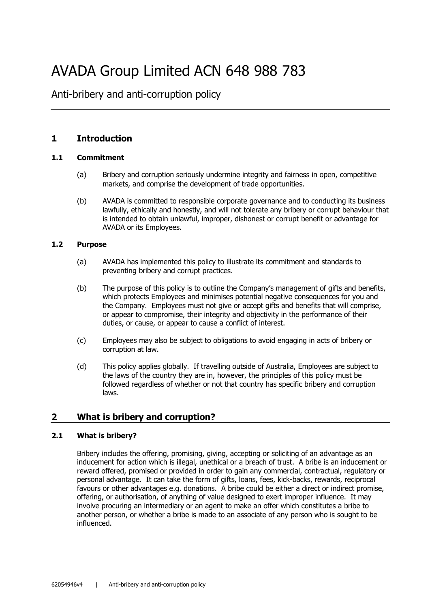# AVADA Group Limited ACN 648 988 783

Anti-bribery and anti-corruption policy

## **1 Introduction**

#### **1.1 Commitment**

- (a) Bribery and corruption seriously undermine integrity and fairness in open, competitive markets, and comprise the development of trade opportunities.
- (b) AVADA is committed to responsible corporate governance and to conducting its business lawfully, ethically and honestly, and will not tolerate any bribery or corrupt behaviour that is intended to obtain unlawful, improper, dishonest or corrupt benefit or advantage for AVADA or its Employees.

#### **1.2 Purpose**

- (a) AVADA has implemented this policy to illustrate its commitment and standards to preventing bribery and corrupt practices.
- (b) The purpose of this policy is to outline the Company's management of gifts and benefits, which protects Employees and minimises potential negative consequences for you and the Company. Employees must not give or accept gifts and benefits that will comprise, or appear to compromise, their integrity and objectivity in the performance of their duties, or cause, or appear to cause a conflict of interest.
- (c) Employees may also be subject to obligations to avoid engaging in acts of bribery or corruption at law.
- (d) This policy applies globally. If travelling outside of Australia, Employees are subject to the laws of the country they are in, however, the principles of this policy must be followed regardless of whether or not that country has specific bribery and corruption laws.

## **2 What is bribery and corruption?**

## **2.1 What is bribery?**

Bribery includes the offering, promising, giving, accepting or soliciting of an advantage as an inducement for action which is illegal, unethical or a breach of trust. A bribe is an inducement or reward offered, promised or provided in order to gain any commercial, contractual, regulatory or personal advantage. It can take the form of gifts, loans, fees, kick-backs, rewards, reciprocal favours or other advantages e.g. donations. A bribe could be either a direct or indirect promise, offering, or authorisation, of anything of value designed to exert improper influence. It may involve procuring an intermediary or an agent to make an offer which constitutes a bribe to another person, or whether a bribe is made to an associate of any person who is sought to be influenced.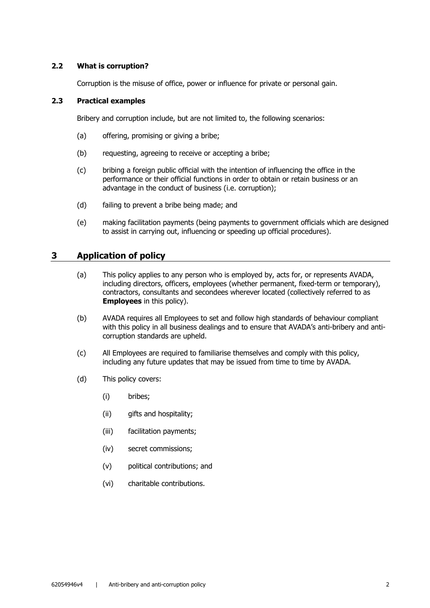#### **2.2 What is corruption?**

Corruption is the misuse of office, power or influence for private or personal gain.

## **2.3 Practical examples**

Bribery and corruption include, but are not limited to, the following scenarios:

- (a) offering, promising or giving a bribe;
- (b) requesting, agreeing to receive or accepting a bribe;
- (c) bribing a foreign public official with the intention of influencing the office in the performance or their official functions in order to obtain or retain business or an advantage in the conduct of business (i.e. corruption);
- (d) failing to prevent a bribe being made; and
- (e) making facilitation payments (being payments to government officials which are designed to assist in carrying out, influencing or speeding up official procedures).

## **3 Application of policy**

- (a) This policy applies to any person who is employed by, acts for, or represents AVADA, including directors, officers, employees (whether permanent, fixed-term or temporary), contractors, consultants and secondees wherever located (collectively referred to as **Employees** in this policy).
- (b) AVADA requires all Employees to set and follow high standards of behaviour compliant with this policy in all business dealings and to ensure that AVADA's anti-bribery and anticorruption standards are upheld.
- (c) All Employees are required to familiarise themselves and comply with this policy, including any future updates that may be issued from time to time by AVADA.
- (d) This policy covers:
	- (i) bribes;
	- (ii) gifts and hospitality;
	- (iii) facilitation payments;
	- (iv) secret commissions;
	- (v) political contributions; and
	- (vi) charitable contributions.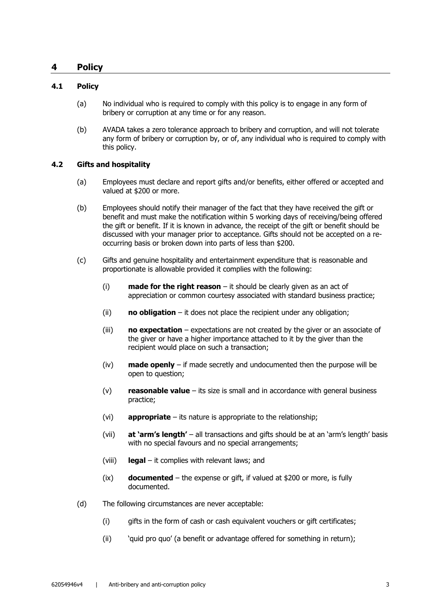## **4 Policy**

#### **4.1 Policy**

- (a) No individual who is required to comply with this policy is to engage in any form of bribery or corruption at any time or for any reason.
- (b) AVADA takes a zero tolerance approach to bribery and corruption, and will not tolerate any form of bribery or corruption by, or of, any individual who is required to comply with this policy.

#### **4.2 Gifts and hospitality**

- (a) Employees must declare and report gifts and/or benefits, either offered or accepted and valued at \$200 or more.
- (b) Employees should notify their manager of the fact that they have received the gift or benefit and must make the notification within 5 working days of receiving/being offered the gift or benefit. If it is known in advance, the receipt of the gift or benefit should be discussed with your manager prior to acceptance. Gifts should not be accepted on a reoccurring basis or broken down into parts of less than \$200.
- (c) Gifts and genuine hospitality and entertainment expenditure that is reasonable and proportionate is allowable provided it complies with the following:
	- (i) **made for the right reason** it should be clearly given as an act of appreciation or common courtesy associated with standard business practice;
	- (ii) **no obligation** it does not place the recipient under any obligation;
	- (iii) **no expectation** expectations are not created by the giver or an associate of the giver or have a higher importance attached to it by the giver than the recipient would place on such a transaction;
	- (iv) **made openly** if made secretly and undocumented then the purpose will be open to question;
	- (v) **reasonable value** its size is small and in accordance with general business practice;
	- (vi) **appropriate** its nature is appropriate to the relationship;
	- (vii) **at 'arm's length'** all transactions and gifts should be at an 'arm's length' basis with no special favours and no special arrangements;
	- (viii) **legal** it complies with relevant laws; and
	- (ix) **documented** the expense or gift, if valued at \$200 or more, is fully documented.
- (d) The following circumstances are never acceptable:
	- (i) gifts in the form of cash or cash equivalent vouchers or gift certificates;
	- (ii) 'quid pro quo' (a benefit or advantage offered for something in return);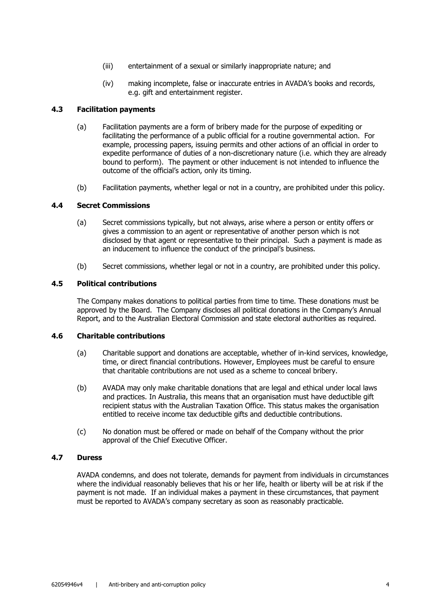- (iii) entertainment of a sexual or similarly inappropriate nature; and
- (iv) making incomplete, false or inaccurate entries in AVADA's books and records, e.g. gift and entertainment register.

#### **4.3 Facilitation payments**

- (a) Facilitation payments are a form of bribery made for the purpose of expediting or facilitating the performance of a public official for a routine governmental action. For example, processing papers, issuing permits and other actions of an official in order to expedite performance of duties of a non-discretionary nature (i.e. which they are already bound to perform). The payment or other inducement is not intended to influence the outcome of the official's action, only its timing.
- (b) Facilitation payments, whether legal or not in a country, are prohibited under this policy.

#### **4.4 Secret Commissions**

- (a) Secret commissions typically, but not always, arise where a person or entity offers or gives a commission to an agent or representative of another person which is not disclosed by that agent or representative to their principal. Such a payment is made as an inducement to influence the conduct of the principal's business.
- (b) Secret commissions, whether legal or not in a country, are prohibited under this policy.

#### **4.5 Political contributions**

The Company makes donations to political parties from time to time. These donations must be approved by the Board. The Company discloses all political donations in the Company's Annual Report, and to the Australian Electoral Commission and state electoral authorities as required.

#### **4.6 Charitable contributions**

- (a) Charitable support and donations are acceptable, whether of in-kind services, knowledge, time, or direct financial contributions. However, Employees must be careful to ensure that charitable contributions are not used as a scheme to conceal bribery.
- (b) AVADA may only make charitable donations that are legal and ethical under local laws and practices. In Australia, this means that an organisation must have deductible gift recipient status with the Australian Taxation Office. This status makes the organisation entitled to receive income tax deductible gifts and deductible contributions.
- (c) No donation must be offered or made on behalf of the Company without the prior approval of the Chief Executive Officer.

#### **4.7 Duress**

AVADA condemns, and does not tolerate, demands for payment from individuals in circumstances where the individual reasonably believes that his or her life, health or liberty will be at risk if the payment is not made. If an individual makes a payment in these circumstances, that payment must be reported to AVADA's company secretary as soon as reasonably practicable.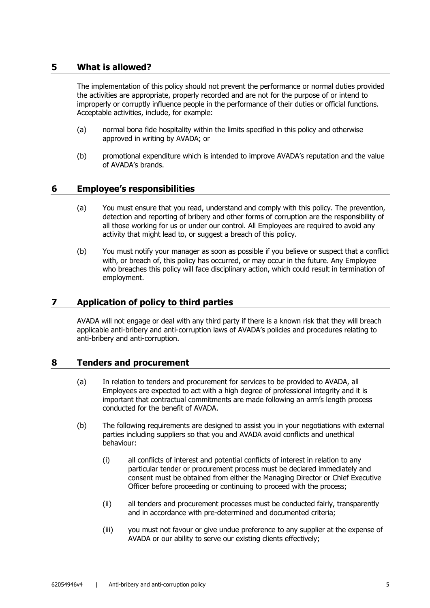## **5 What is allowed?**

The implementation of this policy should not prevent the performance or normal duties provided the activities are appropriate, properly recorded and are not for the purpose of or intend to improperly or corruptly influence people in the performance of their duties or official functions. Acceptable activities, include, for example:

- (a) normal bona fide hospitality within the limits specified in this policy and otherwise approved in writing by AVADA; or
- (b) promotional expenditure which is intended to improve AVADA's reputation and the value of AVADA's brands.

## **6 Employee's responsibilities**

- (a) You must ensure that you read, understand and comply with this policy. The prevention, detection and reporting of bribery and other forms of corruption are the responsibility of all those working for us or under our control. All Employees are required to avoid any activity that might lead to, or suggest a breach of this policy.
- (b) You must notify your manager as soon as possible if you believe or suspect that a conflict with, or breach of, this policy has occurred, or may occur in the future. Any Employee who breaches this policy will face disciplinary action, which could result in termination of employment.

## **7 Application of policy to third parties**

AVADA will not engage or deal with any third party if there is a known risk that they will breach applicable anti-bribery and anti-corruption laws of AVADA's policies and procedures relating to anti-bribery and anti-corruption.

## **8 Tenders and procurement**

- (a) In relation to tenders and procurement for services to be provided to AVADA, all Employees are expected to act with a high degree of professional integrity and it is important that contractual commitments are made following an arm's length process conducted for the benefit of AVADA.
- (b) The following requirements are designed to assist you in your negotiations with external parties including suppliers so that you and AVADA avoid conflicts and unethical behaviour:
	- (i) all conflicts of interest and potential conflicts of interest in relation to any particular tender or procurement process must be declared immediately and consent must be obtained from either the Managing Director or Chief Executive Officer before proceeding or continuing to proceed with the process;
	- (ii) all tenders and procurement processes must be conducted fairly, transparently and in accordance with pre-determined and documented criteria;
	- (iii) you must not favour or give undue preference to any supplier at the expense of AVADA or our ability to serve our existing clients effectively;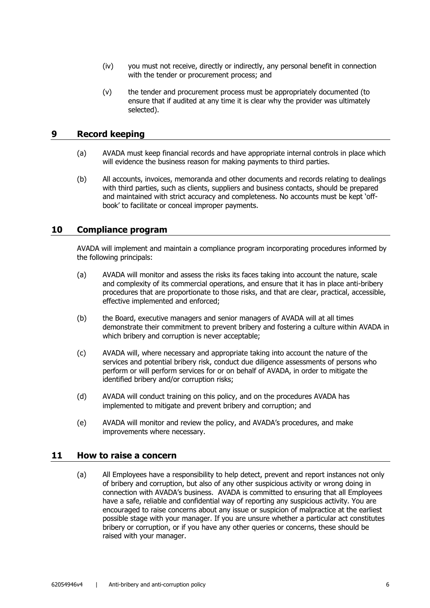- (iv) you must not receive, directly or indirectly, any personal benefit in connection with the tender or procurement process; and
- (v) the tender and procurement process must be appropriately documented (to ensure that if audited at any time it is clear why the provider was ultimately selected).

## **9 Record keeping**

- (a) AVADA must keep financial records and have appropriate internal controls in place which will evidence the business reason for making payments to third parties.
- (b) All accounts, invoices, memoranda and other documents and records relating to dealings with third parties, such as clients, suppliers and business contacts, should be prepared and maintained with strict accuracy and completeness. No accounts must be kept 'offbook' to facilitate or conceal improper payments.

#### **10 Compliance program**

AVADA will implement and maintain a compliance program incorporating procedures informed by the following principals:

- (a) AVADA will monitor and assess the risks its faces taking into account the nature, scale and complexity of its commercial operations, and ensure that it has in place anti-bribery procedures that are proportionate to those risks, and that are clear, practical, accessible, effective implemented and enforced;
- (b) the Board, executive managers and senior managers of AVADA will at all times demonstrate their commitment to prevent bribery and fostering a culture within AVADA in which bribery and corruption is never acceptable;
- (c) AVADA will, where necessary and appropriate taking into account the nature of the services and potential bribery risk, conduct due diligence assessments of persons who perform or will perform services for or on behalf of AVADA, in order to mitigate the identified bribery and/or corruption risks;
- (d) AVADA will conduct training on this policy, and on the procedures AVADA has implemented to mitigate and prevent bribery and corruption; and
- (e) AVADA will monitor and review the policy, and AVADA's procedures, and make improvements where necessary.

#### **11 How to raise a concern**

(a) All Employees have a responsibility to help detect, prevent and report instances not only of bribery and corruption, but also of any other suspicious activity or wrong doing in connection with AVADA's business. AVADA is committed to ensuring that all Employees have a safe, reliable and confidential way of reporting any suspicious activity. You are encouraged to raise concerns about any issue or suspicion of malpractice at the earliest possible stage with your manager. If you are unsure whether a particular act constitutes bribery or corruption, or if you have any other queries or concerns, these should be raised with your manager.